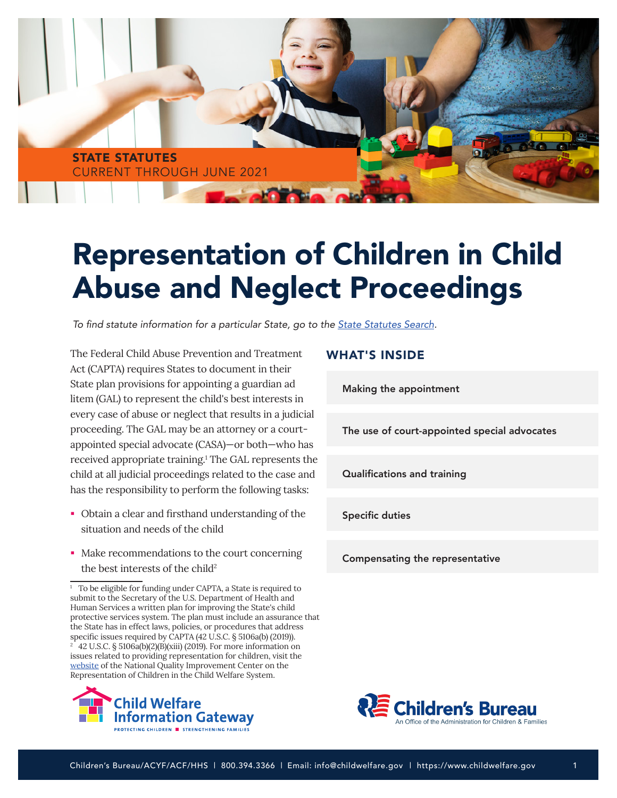

# Representation of Children in Child Abuse and Neglect Proceedings

To find statute information for a particular State, go to the [State Statutes Search](https://www.childwelfare.gov/topics/systemwide/laws-policies/state/)*.* 

The Federal Child Abuse Prevention and Treatment Act (CAPTA) requires States to document in their State plan provisions for appointing a guardian ad litem (GAL) to represent the child's best interests in every case of abuse or neglect that results in a judicial proceeding. The GAL may be an attorney or a courtappointed special advocate (CASA)—or both—who has received appropriate training.1 The GAL represents the child at all judicial proceedings related to the case and has the responsibility to perform the following tasks:

- Obtain a clear and firsthand understanding of the situation and needs of the child
- Make recommendations to the court concerning the best interests of the child<sup>2</sup>

<sup>&</sup>lt;sup>1</sup> To be eligible for funding under CAPTA, a State is required to submit to the Secretary of the U.S. Department of Health and Human Services a written plan for improving the State's child protective services system. The plan must include an assurance that the State has in effect laws, policies, or procedures that address specific issues required by CAPTA (42 U.S.C. § 5106a(b) (2019)). <sup>2</sup> 42 U.S.C. § 5106a(b)(2)(B)(xiii) (2019). For more information on issues related to providing representation for children, visit the [website](http://www.improvechildrep.org/) of the National Quality Improvement Center on the Representation of Children in the Child Welfare System.



#### WHAT'S INSIDE

[Making the appointment](#page-1-0)

[The use of court-appointed special advocates](#page-2-0)

[Qualifications and training](#page-2-0)

[Specific duties](#page-3-0)

[Compensating the representative](#page-4-0)

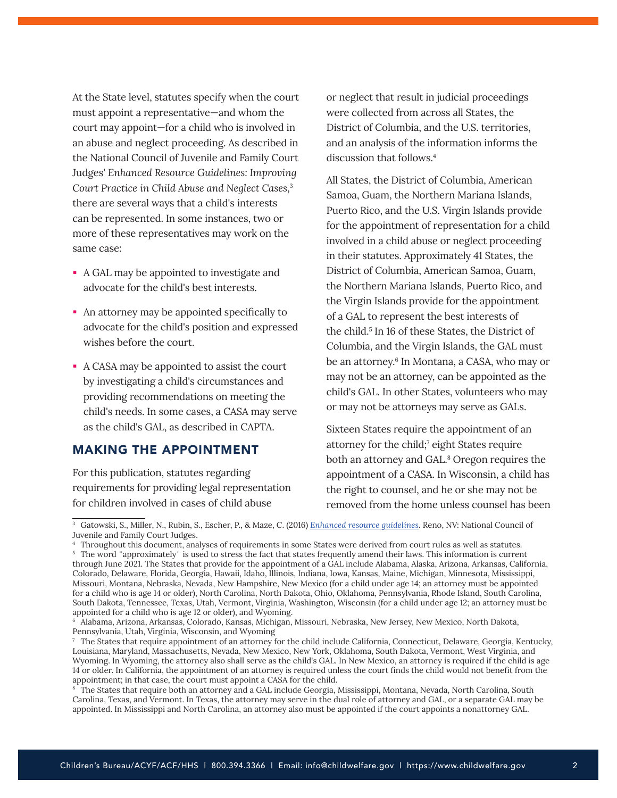<span id="page-1-0"></span>At the State level, statutes specify when the court must appoint a representative—and whom the court may appoint—for a child who is involved in an abuse and neglect proceeding. As described in the National Council of Juvenile and Family Court Judges' *Enhanced Resource Guidelines: Improving Court Practice in Child Abuse and Neglect Cases*, 3 there are several ways that a child's interests can be represented. In some instances, two or more of these representatives may work on the same case:

- A GAL may be appointed to investigate and advocate for the child's best interests.
- An attorney may be appointed specifically to advocate for the child's position and expressed wishes before the court.
- A CASA may be appointed to assist the court by investigating a child's circumstances and providing recommendations on meeting the child's needs. In some cases, a CASA may serve as the child's GAL, as described in CAPTA.

### MAKING THE APPOINTMENT

For this publication, statutes regarding requirements for providing legal representation for children involved in cases of child abuse

or neglect that result in judicial proceedings were collected from across all States, the District of Columbia, and the U.S. territories, and an analysis of the information informs the discussion that follows.<sup>4</sup>

All States, the District of Columbia, American Samoa, Guam, the Northern Mariana Islands, Puerto Rico, and the U.S. Virgin Islands provide for the appointment of representation for a child involved in a child abuse or neglect proceeding in their statutes. Approximately 41 States, the District of Columbia, American Samoa, Guam, the Northern Mariana Islands, Puerto Rico, and the Virgin Islands provide for the appointment of a GAL to represent the best interests of the child.<sup>5</sup> In 16 of these States, the District of Columbia, and the Virgin Islands, the GAL must be an attorney.<sup>6</sup> In Montana, a CASA, who may or may not be an attorney, can be appointed as the child's GAL. In other States, volunteers who may or may not be attorneys may serve as GALs.

Sixteen States require the appointment of an attorney for the child;<sup>7</sup> eight States require both an attorney and GAL.<sup>8</sup> Oregon requires the appointment of a CASA. In Wisconsin, a child has the right to counsel, and he or she may not be removed from the home unless counsel has been

<sup>&</sup>lt;sup>3</sup> Gatowski, S., Miller, N., Rubin, S., Escher, P., & Maze, C. (2016) *[Enhanced resource guidelines](https://www.ncjfcj.org/publications/enhanced-resource-guidelines/)*. Reno, NV: National Council of Juvenile and Family Court Judges.

<sup>4</sup>Throughout this document, analyses of requirements in some States were derived from court rules as well as statutes. <sup>5</sup> The word "approximately" is used to stress the fact that states frequently amend their laws. This information is current through June 2021. The States that provide for the appointment of a GAL include Alabama, Alaska, Arizona, Arkansas, California, Colorado, Delaware, Florida, Georgia, Hawaii, Idaho, Illinois, Indiana, Iowa, Kansas, Maine, Michigan, Minnesota, Mississippi, Missouri, Montana, Nebraska, Nevada, New Hampshire, New Mexico (for a child under age 14; an attorney must be appointed for a child who is age 14 or older), North Carolina, North Dakota, Ohio, Oklahoma, Pennsylvania, Rhode Island, South Carolina, South Dakota, Tennessee, Texas, Utah, Vermont, Virginia, Washington, Wisconsin (for a child under age 12; an attorney must be appointed for a child who is age 12 or older), and Wyoming.

<sup>6</sup> Alabama, Arizona, Arkansas, Colorado, Kansas, Michigan, Missouri, Nebraska, New Jersey, New Mexico, North Dakota, Pennsylvania, Utah, Virginia, Wisconsin, and Wyoming

 $\tau$  The States that require appointment of an attorney for the child include California, Connecticut, Delaware, Georgia, Kentucky, Louisiana, Maryland, Massachusetts, Nevada, New Mexico, New York, Oklahoma, South Dakota, Vermont, West Virginia, and Wyoming. In Wyoming, the attorney also shall serve as the child's GAL. In New Mexico, an attorney is required if the child is age 14 or older. In California, the appointment of an attorney is required unless the court finds the child would not benefit from the appointment; in that case, the court must appoint a CASA for the child.

 $^{\circ}$  The States that require both an attorney and a GAL include Georgia, Mississippi, Montana, Nevada, North Carolina, South Carolina, Texas, and Vermont. In Texas, the attorney may serve in the dual role of attorney and GAL, or a separate GAL may be appointed. In Mississippi and North Carolina, an attorney also must be appointed if the court appoints a nonattorney GAL.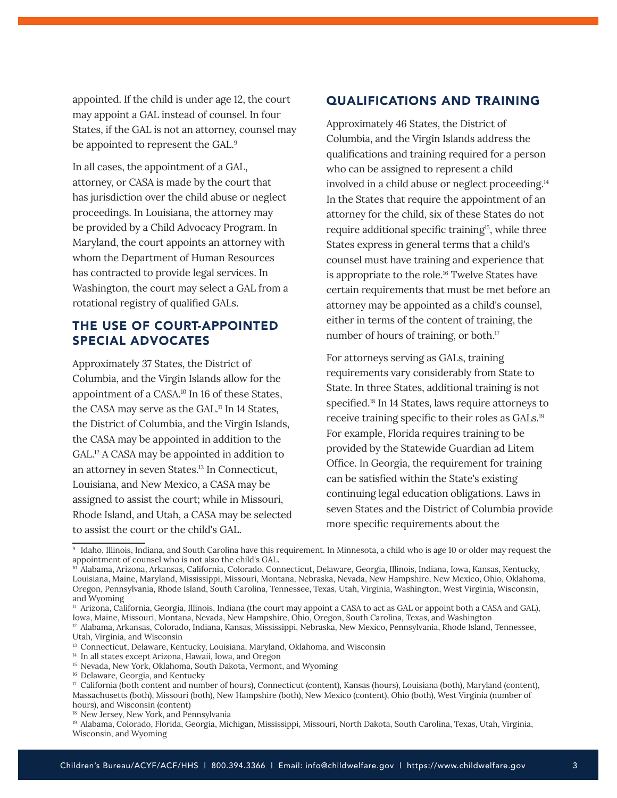<span id="page-2-0"></span>appointed. If the child is under age 12, the court may appoint a GAL instead of counsel. In four States, if the GAL is not an attorney, counsel may be appointed to represent the GAL.<sup>9</sup>

In all cases, the appointment of a GAL, attorney, or CASA is made by the court that has jurisdiction over the child abuse or neglect proceedings. In Louisiana, the attorney may be provided by a Child Advocacy Program. In Maryland, the court appoints an attorney with whom the Department of Human Resources has contracted to provide legal services. In Washington, the court may select a GAL from a rotational registry of qualified GALs.

## THE USE OF COURT-APPOINTED SPECIAL ADVOCATES

Approximately 37 States, the District of Columbia, and the Virgin Islands allow for the appointment of a CASA.10 In 16 of these States, the CASA may serve as the GAL.11 In 14 States, the District of Columbia, and the Virgin Islands, the CASA may be appointed in addition to the GAL.12 A CASA may be appointed in addition to an attorney in seven States.13 In Connecticut, Louisiana, and New Mexico, a CASA may be assigned to assist the court; while in Missouri, Rhode Island, and Utah, a CASA may be selected to assist the court or the child's GAL.

### QUALIFICATIONS AND TRAINING

Approximately 46 States, the District of Columbia, and the Virgin Islands address the qualifications and training required for a person who can be assigned to represent a child involved in a child abuse or neglect proceeding.<sup>14</sup> In the States that require the appointment of an attorney for the child, six of these States do not require additional specific training<sup>15</sup>, while three States express in general terms that a child's counsel must have training and experience that is appropriate to the role.16 Twelve States have certain requirements that must be met before an attorney may be appointed as a child's counsel, either in terms of the content of training, the number of hours of training, or both.<sup>17</sup>

For attorneys serving as GALs, training requirements vary considerably from State to State. In three States, additional training is not specified.<sup>18</sup> In 14 States, laws require attorneys to receive training specific to their roles as GALs.19 For example, Florida requires training to be provided by the Statewide Guardian ad Litem Office. In Georgia, the requirement for training can be satisfied within the State's existing continuing legal education obligations. Laws in seven States and the District of Columbia provide more specific requirements about the

<sup>16</sup> Delaware, Georgia, and Kentucky

<sup>&</sup>lt;sup>9</sup> Idaho, Illinois, Indiana, and South Carolina have this requirement. In Minnesota, a child who is age 10 or older may request the appointment of counsel who is not also the child's GAL.

<sup>10</sup> Alabama, Arizona, Arkansas, California, Colorado, Connecticut, Delaware, Georgia, Illinois, Indiana, Iowa, Kansas, Kentucky, Louisiana, Maine, Maryland, Mississippi, Missouri, Montana, Nebraska, Nevada, New Hampshire, New Mexico, Ohio, Oklahoma, Oregon, Pennsylvania, Rhode Island, South Carolina, Tennessee, Texas, Utah, Virginia, Washington, West Virginia, Wisconsin, and Wyoming

<sup>11</sup> Arizona, California, Georgia, Illinois, Indiana (the court may appoint a CASA to act as GAL or appoint both a CASA and GAL), Iowa, Maine, Missouri, Montana, Nevada, New Hampshire, Ohio, Oregon, South Carolina, Texas, and Washington <sup>12</sup> Alabama, Arkansas, Colorado, Indiana, Kansas, Mississippi, Nebraska, New Mexico, Pennsylvania, Rhode Island, Tennessee, Utah, Virginia, and Wisconsin

<sup>&</sup>lt;sup>13</sup> Connecticut, Delaware, Kentucky, Louisiana, Maryland, Oklahoma, and Wisconsin

<sup>&</sup>lt;sup>14</sup> In all states except Arizona, Hawaii, Iowa, and Oregon

<sup>&</sup>lt;sup>15</sup> Nevada, New York, Oklahoma, South Dakota, Vermont, and Wyoming

<sup>17</sup> California (both content and number of hours), Connecticut (content), Kansas (hours), Louisiana (both), Maryland (content), Massachusetts (both), Missouri (both), New Hampshire (both), New Mexico (content), Ohio (both), West Virginia (number of hours), and Wisconsin (content)

<sup>&</sup>lt;sup>18</sup> New Jersey, New York, and Pennsylvania

<sup>19</sup> Alabama, Colorado, Florida, Georgia, Michigan, Mississippi, Missouri, North Dakota, South Carolina, Texas, Utah, Virginia, Wisconsin, and Wyoming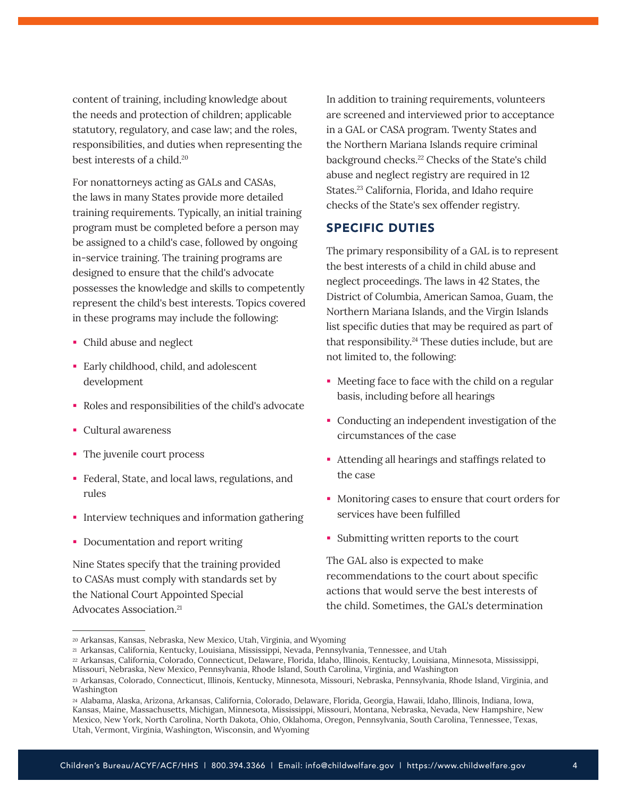<span id="page-3-0"></span>content of training, including knowledge about the needs and protection of children; applicable statutory, regulatory, and case law; and the roles, responsibilities, and duties when representing the best interests of a child.<sup>20</sup>

For nonattorneys acting as GALs and CASAs, the laws in many States provide more detailed training requirements. Typically, an initial training program must be completed before a person may be assigned to a child's case, followed by ongoing in-service training. The training programs are designed to ensure that the child's advocate possesses the knowledge and skills to competently represent the child's best interests. Topics covered in these programs may include the following:

- Child abuse and neglect
- Early childhood, child, and adolescent development
- Roles and responsibilities of the child's advocate
- Cultural awareness
- The juvenile court process
- Federal, State, and local laws, regulations, and rules
- **IF** Interview techniques and information gathering
- Documentation and report writing

Nine States specify that the training provided to CASAs must comply with standards set by the National Court Appointed Special Advocates Association.21

In addition to training requirements, volunteers are screened and interviewed prior to acceptance in a GAL or CASA program. Twenty States and the Northern Mariana Islands require criminal background checks.<sup>22</sup> Checks of the State's child abuse and neglect registry are required in 12 States.<sup>23</sup> California, Florida, and Idaho require checks of the State's sex offender registry.

#### SPECIFIC DUTIES

The primary responsibility of a GAL is to represent the best interests of a child in child abuse and neglect proceedings. The laws in 42 States, the District of Columbia, American Samoa, Guam, the Northern Mariana Islands, and the Virgin Islands list specific duties that may be required as part of that responsibility.<sup>24</sup> These duties include, but are not limited to, the following:

- Meeting face to face with the child on a regular basis, including before all hearings
- Conducting an independent investigation of the circumstances of the case
- Attending all hearings and staffings related to the case
- Monitoring cases to ensure that court orders for services have been fulfilled
- Submitting written reports to the court

The GAL also is expected to make recommendations to the court about specific actions that would serve the best interests of the child. Sometimes, the GAL's determination

<sup>20</sup> Arkansas, Kansas, Nebraska, New Mexico, Utah, Virginia, and Wyoming

<sup>21</sup>Arkansas, California, Kentucky, Louisiana, Mississippi, Nevada, Pennsylvania, Tennessee, and Utah

<sup>22</sup>Arkansas, California, Colorado, Connecticut, Delaware, Florida, Idaho, Illinois, Kentucky, Louisiana, Minnesota, Mississippi,

Missouri, Nebraska, New Mexico, Pennsylvania, Rhode Island, South Carolina, Virginia, and Washington <sup>23</sup> Arkansas, Colorado, Connecticut, Illinois, Kentucky, Minnesota, Missouri, Nebraska, Pennsylvania, Rhode Island, Virginia, and

Washington <sup>24</sup> Alabama, Alaska, Arizona, Arkansas, California, Colorado, Delaware, Florida, Georgia, Hawaii, Idaho, Illinois, Indiana, Iowa,

Kansas, Maine, Massachusetts, Michigan, Minnesota, Mississippi, Missouri, Montana, Nebraska, Nevada, New Hampshire, New Mexico, New York, North Carolina, North Dakota, Ohio, Oklahoma, Oregon, Pennsylvania, South Carolina, Tennessee, Texas, Utah, Vermont, Virginia, Washington, Wisconsin, and Wyoming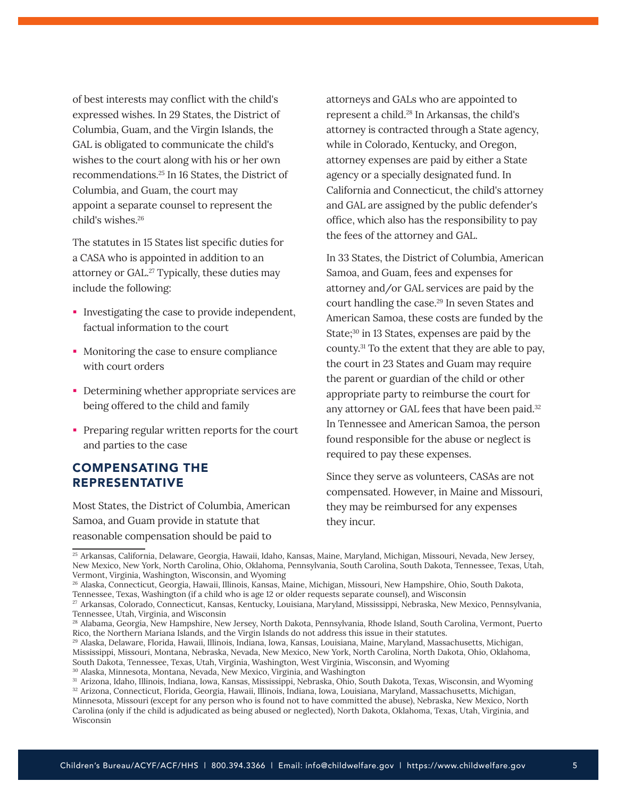<span id="page-4-0"></span>of best interests may conflict with the child's expressed wishes. In 29 States, the District of Columbia, Guam, and the Virgin Islands, the GAL is obligated to communicate the child's wishes to the court along with his or her own recommendations.25 In 16 States, the District of Columbia, and Guam, the court may appoint a separate counsel to represent the child's wishes.<sup>26</sup>

The statutes in 15 States list specific duties for a CASA who is appointed in addition to an attorney or GAL.<sup>27</sup> Typically, these duties may include the following:

- **IDUST:** Investigating the case to provide independent, factual information to the court
- Monitoring the case to ensure compliance with court orders
- Determining whether appropriate services are being offered to the child and family
- **Preparing regular written reports for the court** and parties to the case

#### COMPENSATING THE REPRESENTATIVE

Most States, the District of Columbia, American Samoa, and Guam provide in statute that reasonable compensation should be paid to

attorneys and GALs who are appointed to represent a child.28 In Arkansas, the child's attorney is contracted through a State agency, while in Colorado, Kentucky, and Oregon, attorney expenses are paid by either a State agency or a specially designated fund. In California and Connecticut, the child's attorney and GAL are assigned by the public defender's office, which also has the responsibility to pay the fees of the attorney and GAL.

In 33 States, the District of Columbia, American Samoa, and Guam, fees and expenses for attorney and/or GAL services are paid by the court handling the case.<sup>29</sup> In seven States and American Samoa, these costs are funded by the State;<sup>30</sup> in 13 States, expenses are paid by the county.31 To the extent that they are able to pay, the court in 23 States and Guam may require the parent or guardian of the child or other appropriate party to reimburse the court for any attorney or GAL fees that have been paid.32 In Tennessee and American Samoa, the person found responsible for the abuse or neglect is required to pay these expenses.

Since they serve as volunteers, CASAs are not compensated. However, in Maine and Missouri, they may be reimbursed for any expenses they incur.

<sup>25</sup> Arkansas, California, Delaware, Georgia, Hawaii, Idaho, Kansas, Maine, Maryland, Michigan, Missouri, Nevada, New Jersey, New Mexico, New York, North Carolina, Ohio, Oklahoma, Pennsylvania, South Carolina, South Dakota, Tennessee, Texas, Utah, Vermont, Virginia, Washington, Wisconsin, and Wyoming

<sup>26</sup> Alaska, Connecticut, Georgia, Hawaii, Illinois, Kansas, Maine, Michigan, Missouri, New Hampshire, Ohio, South Dakota, Tennessee, Texas, Washington (if a child who is age 12 or older requests separate counsel), and Wisconsin

<sup>27</sup>Arkansas, Colorado, Connecticut, Kansas, Kentucky, Louisiana, Maryland, Mississippi, Nebraska, New Mexico, Pennsylvania, Tennessee, Utah, Virginia, and Wisconsin

<sup>28</sup> Alabama, Georgia, New Hampshire, New Jersey, North Dakota, Pennsylvania, Rhode Island, South Carolina, Vermont, Puerto Rico, the Northern Mariana Islands, and the Virgin Islands do not address this issue in their statutes.

<sup>29</sup> Alaska, Delaware, Florida, Hawaii, Illinois, Indiana, Iowa, Kansas, Louisiana, Maine, Maryland, Massachusetts, Michigan, Mississippi, Missouri, Montana, Nebraska, Nevada, New Mexico, New York, North Carolina, North Dakota, Ohio, Oklahoma, South Dakota, Tennessee, Texas, Utah, Virginia, Washington, West Virginia, Wisconsin, and Wyoming

<sup>30</sup> Alaska, Minnesota, Montana, Nevada, New Mexico, Virginia, and Washington

<sup>31</sup> Arizona, Idaho, Illinois, Indiana, Iowa, Kansas, Mississippi, Nebraska, Ohio, South Dakota, Texas, Wisconsin, and Wyoming

<sup>32</sup> Arizona, Connecticut, Florida, Georgia, Hawaii, Illinois, Indiana, Iowa, Louisiana, Maryland, Massachusetts, Michigan, Minnesota, Missouri (except for any person who is found not to have committed the abuse), Nebraska, New Mexico, North Carolina (only if the child is adjudicated as being abused or neglected), North Dakota, Oklahoma, Texas, Utah, Virginia, and Wisconsin